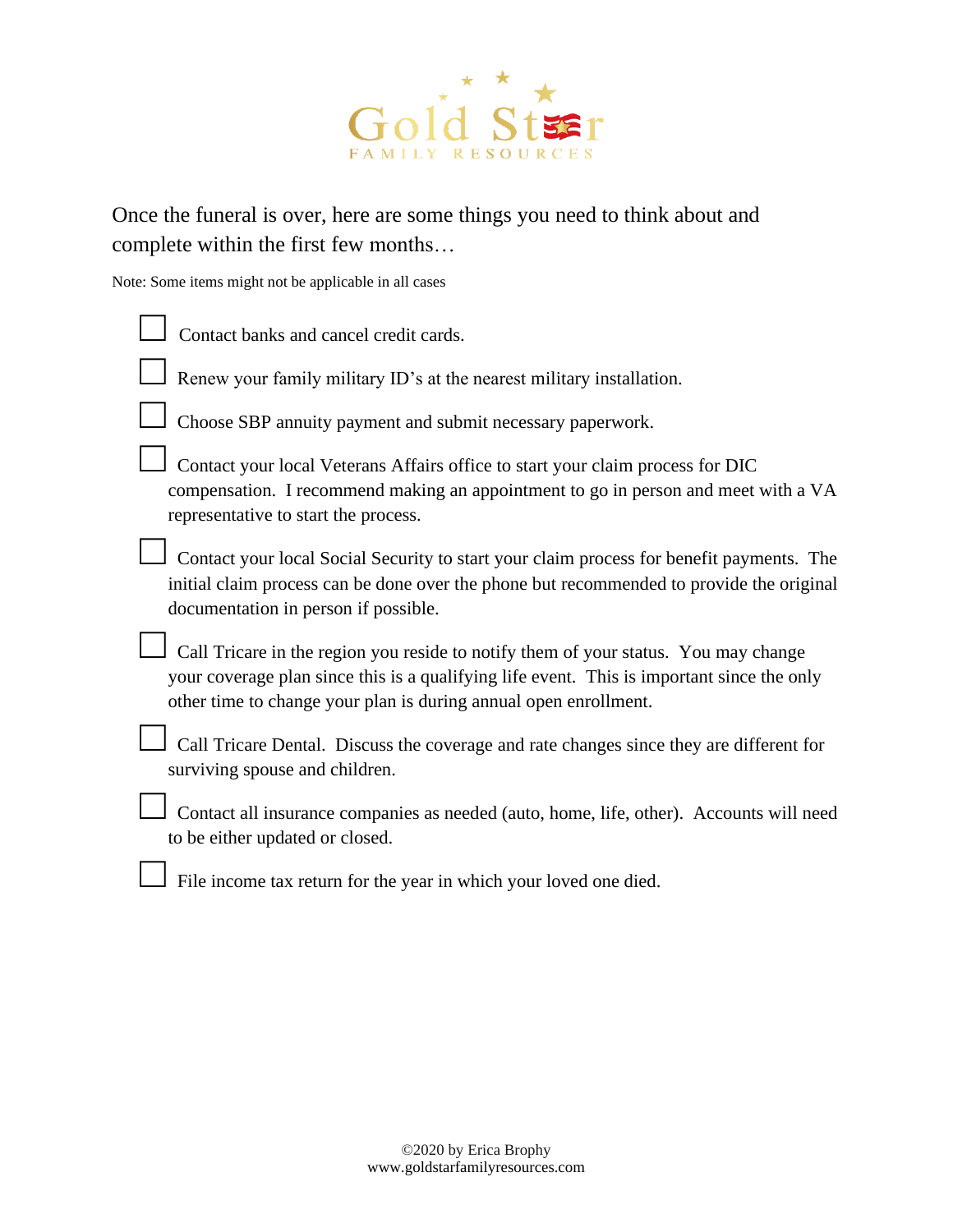

Once the funeral is over, here are some things you need to think about and complete within the first few months…

Note: Some items might not be applicable in all cases

| Contact banks and cancel credit cards.                                                                                                                                                                                                                |
|-------------------------------------------------------------------------------------------------------------------------------------------------------------------------------------------------------------------------------------------------------|
| Renew your family military ID's at the nearest military installation.                                                                                                                                                                                 |
| Choose SBP annuity payment and submit necessary paperwork.                                                                                                                                                                                            |
| Contact your local Veterans Affairs office to start your claim process for DIC<br>compensation. I recommend making an appointment to go in person and meet with a VA<br>representative to start the process.                                          |
| Contact your local Social Security to start your claim process for benefit payments. The<br>initial claim process can be done over the phone but recommended to provide the original<br>documentation in person if possible.                          |
| Call Tricare in the region you reside to notify them of your status. You may change<br>your coverage plan since this is a qualifying life event. This is important since the only<br>other time to change your plan is during annual open enrollment. |
| Call Tricare Dental. Discuss the coverage and rate changes since they are different for<br>surviving spouse and children.                                                                                                                             |
| Contact all insurance companies as needed (auto, home, life, other). Accounts will need<br>to be either updated or closed.                                                                                                                            |
| File income tax return for the year in which your loved one died.                                                                                                                                                                                     |